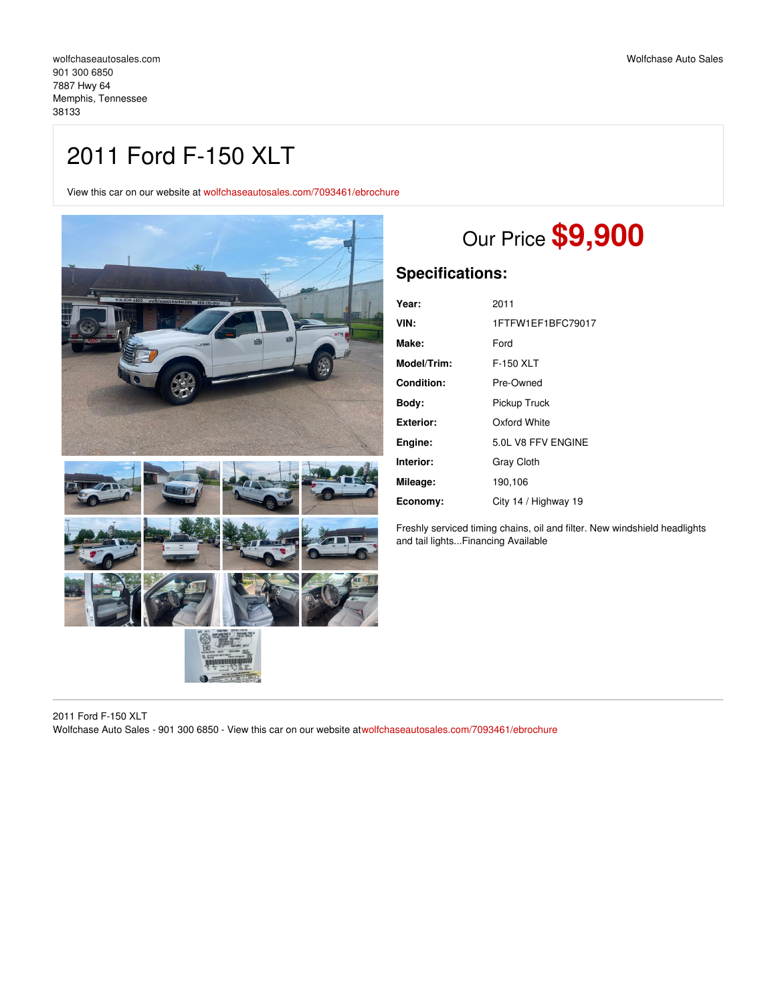# 2011 Ford F-150 XLT

View this car on our website at [wolfchaseautosales.com/7093461/ebrochure](https://wolfchaseautosales.com/vehicle/7093461/2011-ford-f-150-xlt-memphis-tennessee-38133/7093461/ebrochure)



# Our Price **\$9,900**

### **Specifications:**

| Year:             | 2011                 |
|-------------------|----------------------|
| VIN:              | 1FTFW1EF1BFC79017    |
| Make:             | Ford                 |
| Model/Trim:       | F-150 XLT            |
| <b>Condition:</b> | Pre-Owned            |
| Body:             | Pickup Truck         |
| Exterior:         | Oxford White         |
| Engine:           | 5.0L V8 FFV ENGINE   |
| Interior:         | <b>Gray Cloth</b>    |
| Mileage:          | 190,106              |
| Economy:          | City 14 / Highway 19 |

Freshly serviced timing chains, oil and filter. New windshield headlights and tail lights...Financing Available

2011 Ford F-150 XLT Wolfchase Auto Sales - 901 300 6850 - View this car on our website at[wolfchaseautosales.com/7093461/ebrochure](https://wolfchaseautosales.com/vehicle/7093461/2011-ford-f-150-xlt-memphis-tennessee-38133/7093461/ebrochure)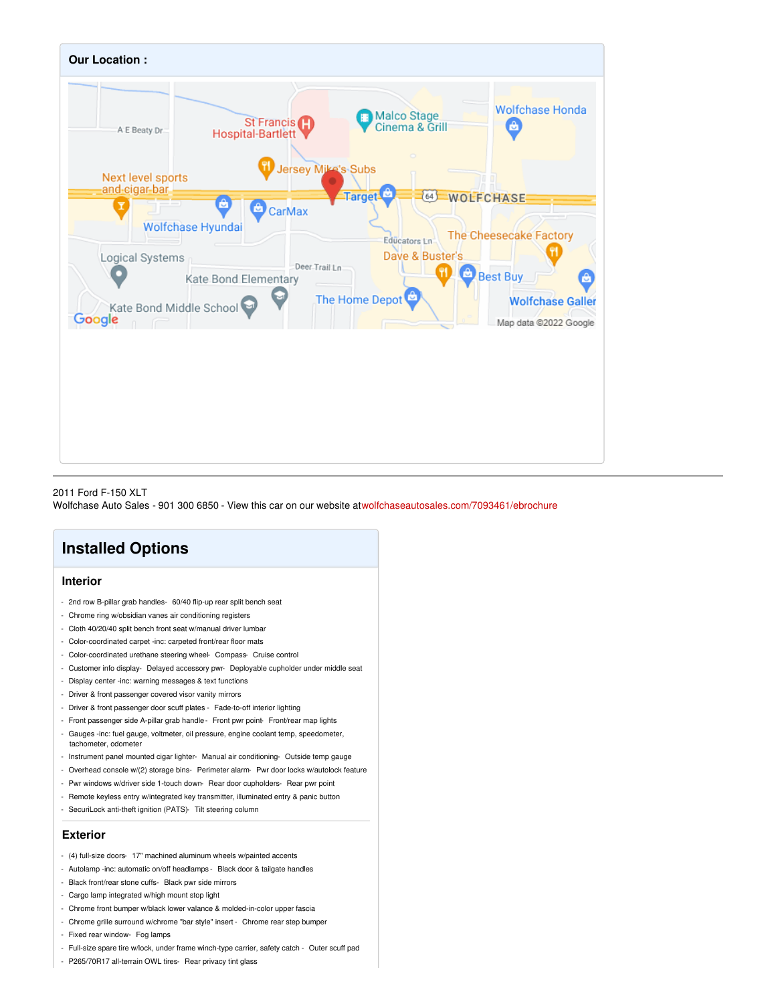

#### 2011 Ford F-150 XLT

Wolfchase Auto Sales - 901 300 6850 - View this car on our website at[wolfchaseautosales.com/7093461/ebrochure](https://wolfchaseautosales.com/vehicle/7093461/2011-ford-f-150-xlt-memphis-tennessee-38133/7093461/ebrochure)

## **Installed Options**

#### **Interior**

- 2nd row B-pillar grab handles- 60/40 flip-up rear split bench seat
- Chrome ring w/obsidian vanes air conditioning registers
- Cloth 40/20/40 split bench front seat w/manual driver lumbar
- Color-coordinated carpet -inc: carpeted front/rear floor mats
- Color-coordinated urethane steering wheel- Compass- Cruise control
- Customer info display- Delayed accessory pwr- Deployable cupholder under middle seat
- Display center -inc: warning messages & text functions
- Driver & front passenger covered visor vanity mirrors
- Driver & front passenger door scuff plates Fade-to-off interior lighting
- Front passenger side A-pillar grab handle- Front pwr point- Front/rear map lights
- Gauges -inc: fuel gauge, voltmeter, oil pressure, engine coolant temp, speedometer, tachometer, odometer
- Instrument panel mounted cigar lighter- Manual air conditioning- Outside temp gauge
- Overhead console w/(2) storage bins- Perimeter alarm- Pwr door locks w/autolock feature
- Pwr windows w/driver side 1-touch down- Rear door cupholders- Rear pwr point
- Remote keyless entry w/integrated key transmitter, illuminated entry & panic button
- SecuriLock anti-theft ignition (PATS)- Tilt steering column

#### **Exterior**

- (4) full-size doors- 17" machined aluminum wheels w/painted accents
- Autolamp -inc: automatic on/off headlamps Black door & tailgate handles
- Black front/rear stone cuffs- Black pwr side mirrors
- Cargo lamp integrated w/high mount stop light
- Chrome front bumper w/black lower valance & molded-in-color upper fascia
- Chrome grille surround w/chrome "bar style" insert Chrome rear step bumper
- Fixed rear window- Fog lamps
- Full-size spare tire w/lock, under frame winch-type carrier, safety catch Outer scuff pad
- P265/70R17 all-terrain OWL tires- Rear privacy tint glass